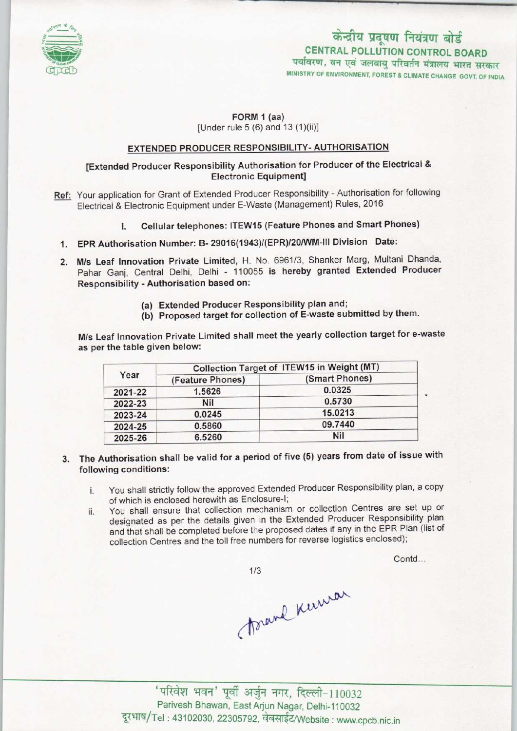

# केन्द्रीय प्रदूषण नियंत्रण बोर्ड CENTRAL POLLUTION CONTROL BOARD<br>पर्यावरण, वन एवं जलवायु परिवर्तन मंत्रालय भारत सरकार

MINISTRY OF ENVIRONMENT, FOREST & CLIMATE CHANGE GOVT. OF INDIA

#### FORM 1 (aa) [Under rule 5 (6) and 13 (1)(ii)]

## EXTENDED PRODUCER RESPONSIBILITY-AUTHORISATION

## [Extended Producer Responsibility Authorisation for Producer of the Electrical & Electronic Equipment]

- Ref: Your application for Grant of Extended Producer Responsibility Authorisation for following Electrical & Electronic Equipment under E-Waste (Management) Rules, 2016
	- I. Cellular telephones: ITEW15 (Feature Phones and Smart Phones)
	- 1.EPR Authorisation Number: B- 29016(1943)/(EPR)/20/WM-lll Division Date:
	- 2. M/s Leaf Innovation Private Limited, H. No. 6961/3, Shanker Marg, Multani Dhanda, Pahar Ganj, Central Delhi, Delhi - 110055 is hereby granted Extended Producer Responsibility - Authorisation based on:
		- (a) Extended Producer Responsibility plan and;
		- (b) Proposed target for collection of E-waste submitted by them.

M/s Leaf Innovation Private Limited shall meet the yearly collection target for e-waste as per the table given below:

| Year    | Collection Target of ITEW15 in Weight (MT) |                |
|---------|--------------------------------------------|----------------|
|         | (Feature Phones)                           | (Smart Phones) |
| 2021-22 | 1.5626                                     | 0.0325         |
| 2022-23 | <b>Nil</b>                                 | 0.5730         |
| 2023-24 | 0.0245                                     | 15.0213        |
| 2024-25 | 0.5860                                     | 09.7440        |
| 2025-26 | 6.5260                                     | <b>Nil</b>     |

- 3. The Authorisation shall be valid for a period of five (5) years from date of issue with following conditions:
	- i. You shall strictly follow the approved Extended Producer Responsibility plan, a copy of which is enclosed herewith as Enclosure-I;
	- ii. You shall ensure that collection mechanism or collection Centres are set up or designated as per the details given in the Extended Producer Responsibility plan and that shall be completed before the proposed dates if any in the EPR Plan (list of collection Centres and the toll free numbers for reverse logistics enclosed);

Contd...

 $1/3$ 

forand Kerman

' परिवेश भवन' पूर्वी अर्जुन नगर, दिल्ली-110032 Parivesh Bhawan, East Arjun Nagar, Delhi-110032 दूरभाष/Tel: 43102030, 22305792, वेबसाईट/Website : www.cpcb.nic.in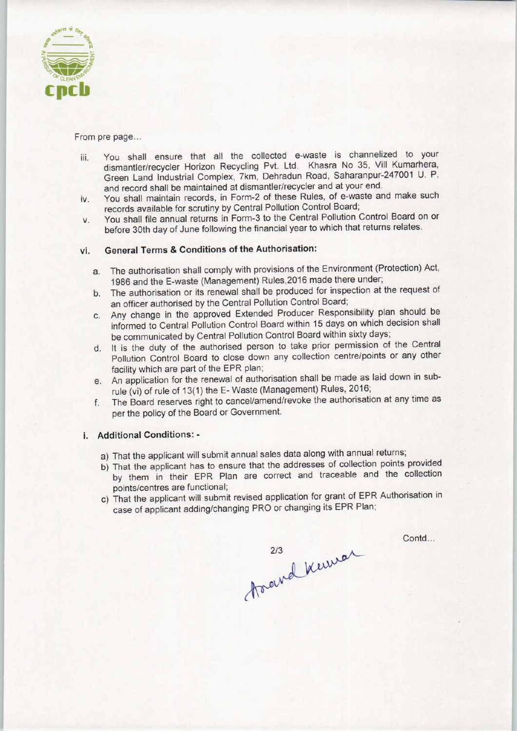

From pre page...

- iii. You shall ensure that all the collected e-waste is channelized to your dismantler/recycler Horizon Recycling Pvt. Ltd. Khasra No 35, Vill Kumarhera, Green Land Industrial Complex, 7km, Dehradun Road, Saharanpur-247001 U. P. and record shall be maintained at dismantler/recycler and at your end.
- iv. You shall maintain records, in Form-2 of these Rules, of e-waste and make such records available for scrutiny by Central Pollution Control Board;
- v. You shall file annual returns in Form-3 to the Central Pollution Control Board on or before 30th day of June following the financial year to which that returns relates.

## vi. General Terms & Conditions of the Authorisation:

- a. The authorisation shall comply with provisions of the Environment (Protection) Act, 1986 and the E-waste (Management) Rules,2016 made there under;
- b.The authorisation or its renewal shall be produced for inspection at the request of an officer authorised by the Central Pollution Control Board;
- c.Any change in the approved Extended Producer Responsibility plan should be informed to Central Pollution Control Board within 15 days on which decision shall be communicated by Central Pollution Control Board within sixty days;
- d.It is the duty of the authorised person to take prior permission of the Central Pollution Control Board to close down any collection centre/points or any other facility which are part of the EPR plan;
- e. An application for the renewal of authorisation shall be made as laid down in subrule (vi) of rule of 13(1) the E- Waste (Management) Rules, 2016;
- f. The Board reserves right to cancel/amend/revoke the authorisation at any time as per the policy of the Board or Government.

## i. Additional Conditions: -

- a) That the applicant will submit annual sales data along with annual returns;
- b) That the applicant has to ensure that the addresses of collection points provided by them in their EPR Plan are correct and traceable and the collection points/centres are functional;
- c) That the applicant will submit revised application for grant of EPR Authorisation in case of applicant adding/changing PRO or changing its EPR Plan;

Contd...

213 keural